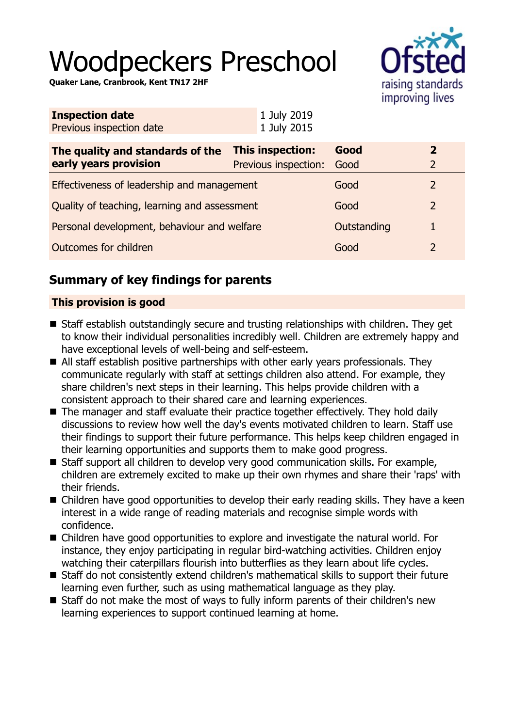# Woodpeckers Preschool

**Quaker Lane, Cranbrook, Kent TN17 2HF**



| <b>Inspection date</b><br>Previous inspection date        | 1 July 2019<br>1 July 2015                      |              |                                |
|-----------------------------------------------------------|-------------------------------------------------|--------------|--------------------------------|
| The quality and standards of the<br>early years provision | <b>This inspection:</b><br>Previous inspection: | Good<br>Good | $\mathbf{2}$<br>$\overline{2}$ |
| Effectiveness of leadership and management                |                                                 | Good         | 2                              |
| Quality of teaching, learning and assessment              |                                                 | Good         | $\overline{2}$                 |
| Personal development, behaviour and welfare               |                                                 | Outstanding  |                                |
| Outcomes for children                                     |                                                 | Good         | 2                              |

# **Summary of key findings for parents**

## **This provision is good**

- Staff establish outstandingly secure and trusting relationships with children. They get to know their individual personalities incredibly well. Children are extremely happy and have exceptional levels of well-being and self-esteem.
- $\blacksquare$  All staff establish positive partnerships with other early years professionals. They communicate regularly with staff at settings children also attend. For example, they share children's next steps in their learning. This helps provide children with a consistent approach to their shared care and learning experiences.
- $\blacksquare$  The manager and staff evaluate their practice together effectively. They hold daily discussions to review how well the day's events motivated children to learn. Staff use their findings to support their future performance. This helps keep children engaged in their learning opportunities and supports them to make good progress.
- $\blacksquare$  Staff support all children to develop very good communication skills. For example, children are extremely excited to make up their own rhymes and share their 'raps' with their friends.
- $\blacksquare$  Children have good opportunities to develop their early reading skills. They have a keen interest in a wide range of reading materials and recognise simple words with confidence.
- $\blacksquare$  Children have good opportunities to explore and investigate the natural world. For instance, they enjoy participating in regular bird-watching activities. Children enjoy watching their caterpillars flourish into butterflies as they learn about life cycles.
- Staff do not consistently extend children's mathematical skills to support their future learning even further, such as using mathematical language as they play.
- $\blacksquare$  Staff do not make the most of ways to fully inform parents of their children's new learning experiences to support continued learning at home.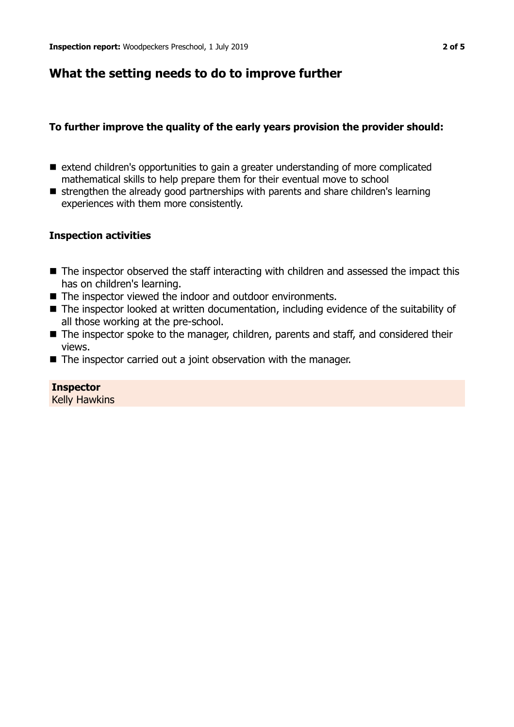## **What the setting needs to do to improve further**

### **To further improve the quality of the early years provision the provider should:**

- extend children's opportunities to gain a greater understanding of more complicated mathematical skills to help prepare them for their eventual move to school
- strengthen the already good partnerships with parents and share children's learning experiences with them more consistently.

#### **Inspection activities**

- $\blacksquare$  The inspector observed the staff interacting with children and assessed the impact this has on children's learning.
- $\blacksquare$  The inspector viewed the indoor and outdoor environments.
- $\blacksquare$  The inspector looked at written documentation, including evidence of the suitability of all those working at the pre-school.
- The inspector spoke to the manager, children, parents and staff, and considered their views.
- $\blacksquare$  The inspector carried out a joint observation with the manager.

**Inspector** Kelly Hawkins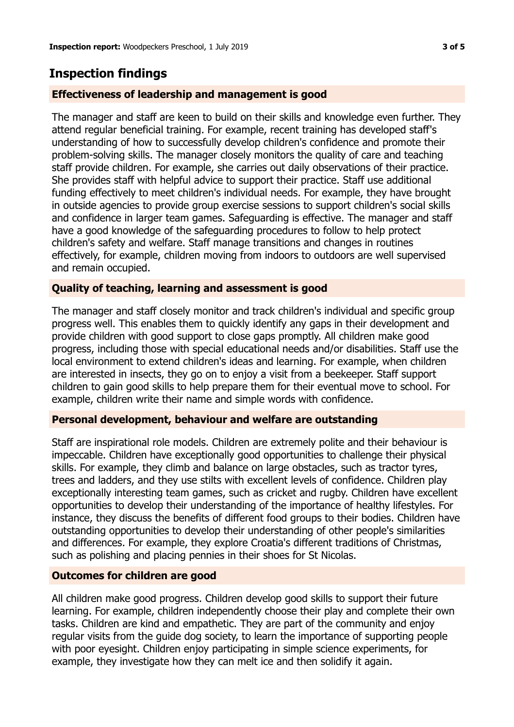## **Inspection findings**

## **Effectiveness of leadership and management is good**

The manager and staff are keen to build on their skills and knowledge even further. They attend regular beneficial training. For example, recent training has developed staff's understanding of how to successfully develop children's confidence and promote their problem-solving skills. The manager closely monitors the quality of care and teaching staff provide children. For example, she carries out daily observations of their practice. She provides staff with helpful advice to support their practice. Staff use additional funding effectively to meet children's individual needs. For example, they have brought in outside agencies to provide group exercise sessions to support children's social skills and confidence in larger team games. Safeguarding is effective. The manager and staff have a good knowledge of the safeguarding procedures to follow to help protect children's safety and welfare. Staff manage transitions and changes in routines effectively, for example, children moving from indoors to outdoors are well supervised and remain occupied.

## **Quality of teaching, learning and assessment is good**

The manager and staff closely monitor and track children's individual and specific group progress well. This enables them to quickly identify any gaps in their development and provide children with good support to close gaps promptly. All children make good progress, including those with special educational needs and/or disabilities. Staff use the local environment to extend children's ideas and learning. For example, when children are interested in insects, they go on to enjoy a visit from a beekeeper. Staff support children to gain good skills to help prepare them for their eventual move to school. For example, children write their name and simple words with confidence.

#### **Personal development, behaviour and welfare are outstanding**

Staff are inspirational role models. Children are extremely polite and their behaviour is impeccable. Children have exceptionally good opportunities to challenge their physical skills. For example, they climb and balance on large obstacles, such as tractor tyres, trees and ladders, and they use stilts with excellent levels of confidence. Children play exceptionally interesting team games, such as cricket and rugby. Children have excellent opportunities to develop their understanding of the importance of healthy lifestyles. For instance, they discuss the benefits of different food groups to their bodies. Children have outstanding opportunities to develop their understanding of other people's similarities and differences. For example, they explore Croatia's different traditions of Christmas, such as polishing and placing pennies in their shoes for St Nicolas.

## **Outcomes for children are good**

All children make good progress. Children develop good skills to support their future learning. For example, children independently choose their play and complete their own tasks. Children are kind and empathetic. They are part of the community and enjoy regular visits from the guide dog society, to learn the importance of supporting people with poor eyesight. Children enjoy participating in simple science experiments, for example, they investigate how they can melt ice and then solidify it again.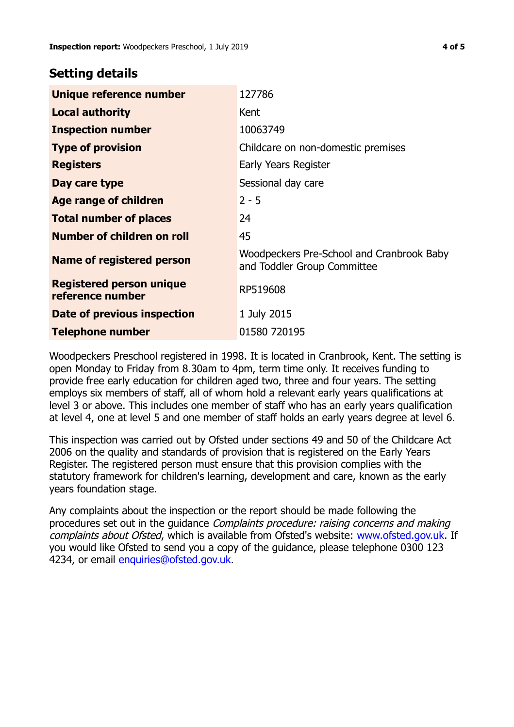## **Setting details**

| Unique reference number                             | 127786                                                                   |  |
|-----------------------------------------------------|--------------------------------------------------------------------------|--|
| <b>Local authority</b>                              | Kent                                                                     |  |
| <b>Inspection number</b>                            | 10063749                                                                 |  |
| <b>Type of provision</b>                            | Childcare on non-domestic premises                                       |  |
| <b>Registers</b>                                    | Early Years Register                                                     |  |
| Day care type                                       | Sessional day care                                                       |  |
| Age range of children                               | $2 - 5$                                                                  |  |
| <b>Total number of places</b>                       | 24                                                                       |  |
| Number of children on roll                          | 45                                                                       |  |
| Name of registered person                           | Woodpeckers Pre-School and Cranbrook Baby<br>and Toddler Group Committee |  |
| <b>Registered person unique</b><br>reference number | RP519608                                                                 |  |
| Date of previous inspection                         | 1 July 2015                                                              |  |
| <b>Telephone number</b>                             | 01580 720195                                                             |  |

Woodpeckers Preschool registered in 1998. It is located in Cranbrook, Kent. The setting is open Monday to Friday from 8.30am to 4pm, term time only. It receives funding to provide free early education for children aged two, three and four years. The setting employs six members of staff, all of whom hold a relevant early years qualifications at level 3 or above. This includes one member of staff who has an early years qualification at level 4, one at level 5 and one member of staff holds an early years degree at level 6.

This inspection was carried out by Ofsted under sections 49 and 50 of the Childcare Act 2006 on the quality and standards of provision that is registered on the Early Years Register. The registered person must ensure that this provision complies with the statutory framework for children's learning, development and care, known as the early years foundation stage.

Any complaints about the inspection or the report should be made following the procedures set out in the guidance Complaints procedure: raising concerns and making complaints about Ofsted, which is available from Ofsted's website: www.ofsted.gov.uk. If you would like Ofsted to send you a copy of the guidance, please telephone 0300 123 4234, or email [enquiries@ofsted.gov.uk.](mailto:enquiries@ofsted.gov.uk)